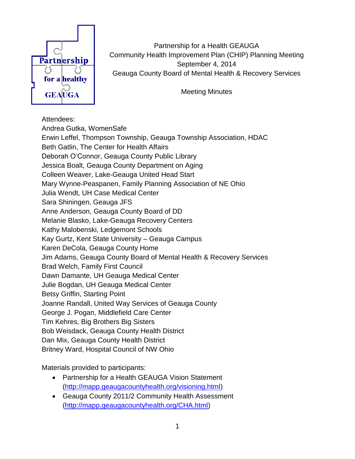

Partnership for a Health GEAUGA Community Health Improvement Plan (CHIP) Planning Meeting September 4, 2014 Geauga County Board of Mental Health & Recovery Services

Meeting Minutes

## Attendees:

Andrea Gutka, WomenSafe Erwin Leffel, Thompson Township, Geauga Township Association, HDAC Beth Gatlin, The Center for Health Affairs Deborah O'Connor, Geauga County Public Library Jessica Boalt, Geauga County Department on Aging Colleen Weaver, Lake-Geauga United Head Start Mary Wynne-Peaspanen, Family Planning Association of NE Ohio Julia Wendt, UH Case Medical Center Sara Shiningen, Geauga JFS Anne Anderson, Geauga County Board of DD Melanie Blasko, Lake-Geauga Recovery Centers Kathy Malobenski, Ledgemont Schools Kay Gurtz, Kent State University – Geauga Campus Karen DeCola, Geauga County Home Jim Adams, Geauga County Board of Mental Health & Recovery Services Brad Welch, Family First Council Dawn Damante, UH Geauga Medical Center Julie Bogdan, UH Geauga Medical Center Betsy Griffin, Starting Point Joanne Randall, United Way Services of Geauga County George J. Pogan, Middlefield Care Center Tim Kehres, Big Brothers Big Sisters Bob Weisdack, Geauga County Health District Dan Mix, Geauga County Health District Britney Ward, Hospital Council of NW Ohio

Materials provided to participants:

- Partnership for a Health GEAUGA Vision Statement [\(http://mapp.geaugacountyhealth.org/visioning.html\)](http://mapp.geaugacountyhealth.org/visioning.html)
- Geauga County 2011/2 Community Health Assessment [\(http://mapp.geaugacountyhealth.org/CHA.html\)](http://mapp.geaugacountyhealth.org/CHA.html)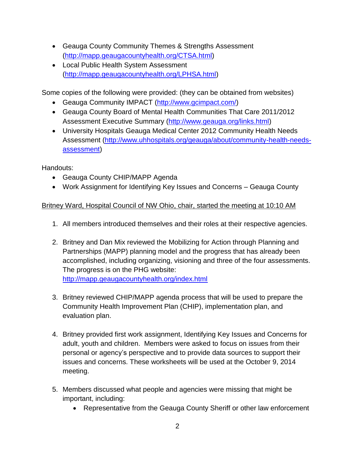- Geauga County Community Themes & Strengths Assessment [\(http://mapp.geaugacountyhealth.org/CTSA.html\)](http://mapp.geaugacountyhealth.org/CTSA.html)
- Local Public Health System Assessment [\(http://mapp.geaugacountyhealth.org/LPHSA.html\)](http://mapp.geaugacountyhealth.org/LPHSA.html)

Some copies of the following were provided: (they can be obtained from websites)

- Geauga Community IMPACT [\(http://www.gcimpact.com/\)](http://www.gcimpact.com/)
- Geauga County Board of Mental Health Communities That Care 2011/2012 Assessment Executive Summary [\(http://www.geauga.org/links.html\)](http://www.geauga.org/links.html)
- University Hospitals Geauga Medical Center 2012 Community Health Needs Assessment [\(http://www.uhhospitals.org/geauga/about/community-health-needs](http://www.uhhospitals.org/geauga/about/community-health-needs-assessment)[assessment\)](http://www.uhhospitals.org/geauga/about/community-health-needs-assessment)

Handouts:

- Geauga County CHIP/MAPP Agenda
- Work Assignment for Identifying Key Issues and Concerns Geauga County

## Britney Ward, Hospital Council of NW Ohio, chair, started the meeting at 10:10 AM

- 1. All members introduced themselves and their roles at their respective agencies.
- 2. Britney and Dan Mix reviewed the Mobilizing for Action through Planning and Partnerships (MAPP) planning model and the progress that has already been accomplished, including organizing, visioning and three of the four assessments. The progress is on the PHG website: <http://mapp.geaugacountyhealth.org/index.html>
- 3. Britney reviewed CHIP/MAPP agenda process that will be used to prepare the Community Health Improvement Plan (CHIP), implementation plan, and evaluation plan.
- 4. Britney provided first work assignment, Identifying Key Issues and Concerns for adult, youth and children. Members were asked to focus on issues from their personal or agency's perspective and to provide data sources to support their issues and concerns. These worksheets will be used at the October 9, 2014 meeting.
- 5. Members discussed what people and agencies were missing that might be important, including:
	- Representative from the Geauga County Sheriff or other law enforcement